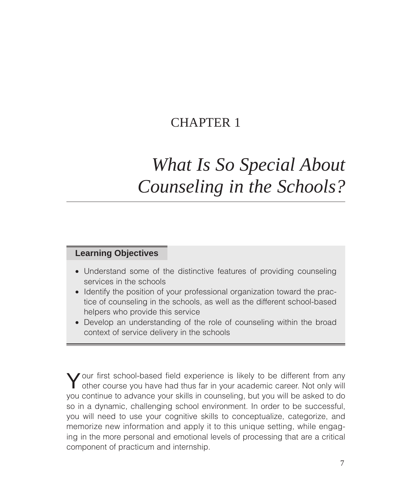## CHAPTER 1

# *What Is So Special About Counseling in the Schools?*

## **Learning Objectives**

- Understand some of the distinctive features of providing counseling services in the schools
- Identify the position of your professional organization toward the practice of counseling in the schools, as well as the different school-based helpers who provide this service
- Develop an understanding of the role of counseling within the broad context of service delivery in the schools

**J** our first school-based field experience is likely to be different from any other course you have had thus far in your academic career. Not only will you continue to advance your skills in counseling, but you will be asked to do so in a dynamic, challenging school environment. In order to be successful, you will need to use your cognitive skills to conceptualize, categorize, and memorize new information and apply it to this unique setting, while engaging in the more personal and emotional levels of processing that are a critical component of practicum and internship.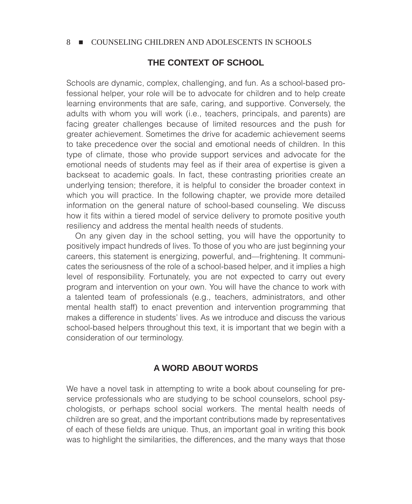## **THE CONTEXT OF SCHOOL**

Schools are dynamic, complex, challenging, and fun. As a school-based professional helper, your role will be to advocate for children and to help create learning environments that are safe, caring, and supportive. Conversely, the adults with whom you will work (i.e., teachers, principals, and parents) are facing greater challenges because of limited resources and the push for greater achievement. Sometimes the drive for academic achievement seems to take precedence over the social and emotional needs of children. In this type of climate, those who provide support services and advocate for the emotional needs of students may feel as if their area of expertise is given a backseat to academic goals. In fact, these contrasting priorities create an underlying tension; therefore, it is helpful to consider the broader context in which you will practice. In the following chapter, we provide more detailed information on the general nature of school-based counseling. We discuss how it fits within a tiered model of service delivery to promote positive youth resiliency and address the mental health needs of students.

On any given day in the school setting, you will have the opportunity to positively impact hundreds of lives. To those of you who are just beginning your careers, this statement is energizing, powerful, and—frightening. It communicates the seriousness of the role of a school-based helper, and it implies a high level of responsibility. Fortunately, you are not expected to carry out every program and intervention on your own. You will have the chance to work with a talented team of professionals (e.g., teachers, administrators, and other mental health staff) to enact prevention and intervention programming that makes a difference in students' lives. As we introduce and discuss the various school-based helpers throughout this text, it is important that we begin with a consideration of our terminology.

## **A WORD ABOUT WORDS**

We have a novel task in attempting to write a book about counseling for preservice professionals who are studying to be school counselors, school psychologists, or perhaps school social workers. The mental health needs of children are so great, and the important contributions made by representatives of each of these fields are unique. Thus, an important goal in writing this book was to highlight the similarities, the differences, and the many ways that those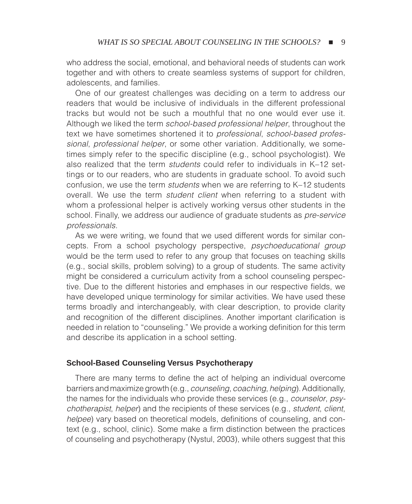who address the social, emotional, and behavioral needs of students can work together and with others to create seamless systems of support for children, adolescents, and families.

One of our greatest challenges was deciding on a term to address our readers that would be inclusive of individuals in the different professional tracks but would not be such a mouthful that no one would ever use it. Although we liked the term *school-based professional helper*, throughout the text we have sometimes shortened it to *professional*, *school-based professional*, *professional helper*, or some other variation. Additionally, we sometimes simply refer to the specific discipline (e.g., school psychologist). We also realized that the term *students* could refer to individuals in K–12 settings or to our readers, who are students in graduate school. To avoid such confusion, we use the term *students* when we are referring to K–12 students overall. We use the term *student client* when referring to a student with whom a professional helper is actively working versus other students in the school. Finally, we address our audience of graduate students as *pre-service professionals.*

As we were writing, we found that we used different words for similar concepts. From a school psychology perspective, *psychoeducational group* would be the term used to refer to any group that focuses on teaching skills (e.g., social skills, problem solving) to a group of students. The same activity might be considered a curriculum activity from a school counseling perspective. Due to the different histories and emphases in our respective fields, we have developed unique terminology for similar activities. We have used these terms broadly and interchangeably, with clear description, to provide clarity and recognition of the different disciplines. Another important clarification is needed in relation to "counseling." We provide a working definition for this term and describe its application in a school setting.

#### **School-Based Counseling Versus Psychotherapy**

There are many terms to define the act of helping an individual overcome barriers and maximize growth (e.g., *counseling*, *coaching*, *helping*). Additionally, the names for the individuals who provide these services (e.g., *counselor*, *psychotherapist*, *helper*) and the recipients of these services (e.g., *student*, *client*, *helpee*) vary based on theoretical models, definitions of counseling, and context (e.g., school, clinic). Some make a firm distinction between the practices of counseling and psychotherapy (Nystul, 2003), while others suggest that this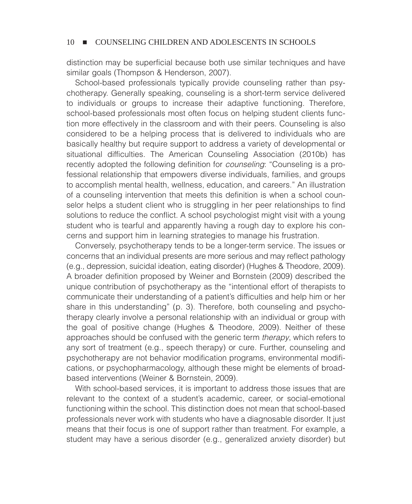distinction may be superficial because both use similar techniques and have similar goals (Thompson & Henderson, 2007).

School-based professionals typically provide counseling rather than psychotherapy. Generally speaking, counseling is a short-term service delivered to individuals or groups to increase their adaptive functioning. Therefore, school-based professionals most often focus on helping student clients function more effectively in the classroom and with their peers. Counseling is also considered to be a helping process that is delivered to individuals who are basically healthy but require support to address a variety of developmental or situational difficulties. The American Counseling Association (2010b) has recently adopted the following definition for *counseling*: "Counseling is a professional relationship that empowers diverse individuals, families, and groups to accomplish mental health, wellness, education, and careers." An illustration of a counseling intervention that meets this definition is when a school counselor helps a student client who is struggling in her peer relationships to find solutions to reduce the conflict. A school psychologist might visit with a young student who is tearful and apparently having a rough day to explore his concerns and support him in learning strategies to manage his frustration.

Conversely, psychotherapy tends to be a longer-term service. The issues or concerns that an individual presents are more serious and may reflect pathology (e.g., depression, suicidal ideation, eating disorder) (Hughes & Theodore, 2009). A broader definition proposed by Weiner and Bornstein (2009) described the unique contribution of psychotherapy as the "intentional effort of therapists to communicate their understanding of a patient's difficulties and help him or her share in this understanding" (p. 3). Therefore, both counseling and psychotherapy clearly involve a personal relationship with an individual or group with the goal of positive change (Hughes & Theodore, 2009). Neither of these approaches should be confused with the generic term *therapy*, which refers to any sort of treatment (e.g., speech therapy) or cure. Further, counseling and psychotherapy are not behavior modification programs, environmental modifications, or psychopharmacology, although these might be elements of broadbased interventions (Weiner & Bornstein, 2009).

With school-based services, it is important to address those issues that are relevant to the context of a student's academic, career, or social-emotional functioning within the school. This distinction does not mean that school-based professionals never work with students who have a diagnosable disorder. It just means that their focus is one of support rather than treatment. For example, a student may have a serious disorder (e.g., generalized anxiety disorder) but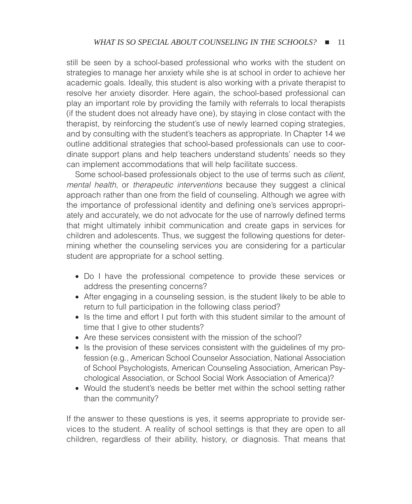still be seen by a school-based professional who works with the student on strategies to manage her anxiety while she is at school in order to achieve her academic goals. Ideally, this student is also working with a private therapist to resolve her anxiety disorder. Here again, the school-based professional can play an important role by providing the family with referrals to local therapists (if the student does not already have one), by staying in close contact with the therapist, by reinforcing the student's use of newly learned coping strategies, and by consulting with the student's teachers as appropriate. In Chapter 14 we outline additional strategies that school-based professionals can use to coordinate support plans and help teachers understand students' needs so they can implement accommodations that will help facilitate success.

Some school-based professionals object to the use of terms such as *client*, *mental health*, or *therapeutic interventions* because they suggest a clinical approach rather than one from the field of counseling. Although we agree with the importance of professional identity and defining one's services appropriately and accurately, we do not advocate for the use of narrowly defined terms that might ultimately inhibit communication and create gaps in services for children and adolescents. Thus, we suggest the following questions for determining whether the counseling services you are considering for a particular student are appropriate for a school setting.

- Do I have the professional competence to provide these services or address the presenting concerns?
- After engaging in a counseling session, is the student likely to be able to return to full participation in the following class period?
- Is the time and effort I put forth with this student similar to the amount of time that I give to other students?
- Are these services consistent with the mission of the school?
- Is the provision of these services consistent with the guidelines of my profession (e.g., American School Counselor Association, National Association of School Psychologists, American Counseling Association, American Psychological Association, or School Social Work Association of America)?
- Would the student's needs be better met within the school setting rather than the community?

If the answer to these questions is yes, it seems appropriate to provide services to the student. A reality of school settings is that they are open to all children, regardless of their ability, history, or diagnosis. That means that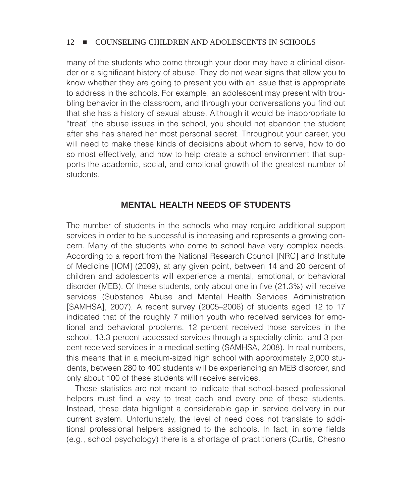many of the students who come through your door may have a clinical disorder or a significant history of abuse. They do not wear signs that allow you to know whether they are going to present you with an issue that is appropriate to address in the schools. For example, an adolescent may present with troubling behavior in the classroom, and through your conversations you find out that she has a history of sexual abuse. Although it would be inappropriate to "treat" the abuse issues in the school, you should not abandon the student after she has shared her most personal secret. Throughout your career, you will need to make these kinds of decisions about whom to serve, how to do so most effectively, and how to help create a school environment that supports the academic, social, and emotional growth of the greatest number of students.

## **MENTAL HEALTH NEEDS OF STUDENTS**

The number of students in the schools who may require additional support services in order to be successful is increasing and represents a growing concern. Many of the students who come to school have very complex needs. According to a report from the National Research Council [NRC] and Institute of Medicine [IOM] (2009), at any given point, between 14 and 20 percent of children and adolescents will experience a mental, emotional, or behavioral disorder (MEB). Of these students, only about one in five (21.3%) will receive services (Substance Abuse and Mental Health Services Administration [SAMHSA], 2007). A recent survey (2005–2006) of students aged 12 to 17 indicated that of the roughly 7 million youth who received services for emotional and behavioral problems, 12 percent received those services in the school, 13.3 percent accessed services through a specialty clinic, and 3 percent received services in a medical setting (SAMHSA, 2008). In real numbers, this means that in a medium-sized high school with approximately 2,000 students, between 280 to 400 students will be experiencing an MEB disorder, and only about 100 of these students will receive services.

These statistics are not meant to indicate that school-based professional helpers must find a way to treat each and every one of these students. Instead, these data highlight a considerable gap in service delivery in our current system. Unfortunately, the level of need does not translate to additional professional helpers assigned to the schools. In fact, in some fields (e.g., school psychology) there is a shortage of practitioners (Curtis, Chesno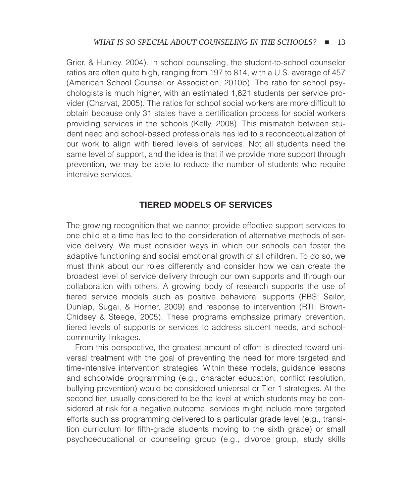Grier, & Hunley, 2004). In school counseling, the student-to-school counselor ratios are often quite high, ranging from 197 to 814, with a U.S. average of 457 (American School Counsel or Association, 2010b). The ratio for school psychologists is much higher, with an estimated 1,621 students per service provider (Charvat, 2005). The ratios for school social workers are more difficult to obtain because only 31 states have a certification process for social workers providing services in the schools (Kelly, 2008). This mismatch between student need and school-based professionals has led to a reconceptualization of our work to align with tiered levels of services. Not all students need the same level of support, and the idea is that if we provide more support through prevention, we may be able to reduce the number of students who require intensive services.

## **TIERED MODELS OF SERVICES**

The growing recognition that we cannot provide effective support services to one child at a time has led to the consideration of alternative methods of service delivery. We must consider ways in which our schools can foster the adaptive functioning and social emotional growth of all children. To do so, we must think about our roles differently and consider how we can create the broadest level of service delivery through our own supports and through our collaboration with others. A growing body of research supports the use of tiered service models such as positive behavioral supports (PBS; Sailor, Dunlap, Sugai, & Horner, 2009) and response to intervention (RTI; Brown-Chidsey & Steege, 2005). These programs emphasize primary prevention, tiered levels of supports or services to address student needs, and schoolcommunity linkages.

From this perspective, the greatest amount of effort is directed toward universal treatment with the goal of preventing the need for more targeted and time-intensive intervention strategies. Within these models, guidance lessons and schoolwide programming (e.g., character education, conflict resolution, bullying prevention) would be considered universal or Tier 1 strategies. At the second tier, usually considered to be the level at which students may be considered at risk for a negative outcome, services might include more targeted efforts such as programming delivered to a particular grade level (e.g., transition curriculum for fifth-grade students moving to the sixth grade) or small psychoeducational or counseling group (e.g., divorce group, study skills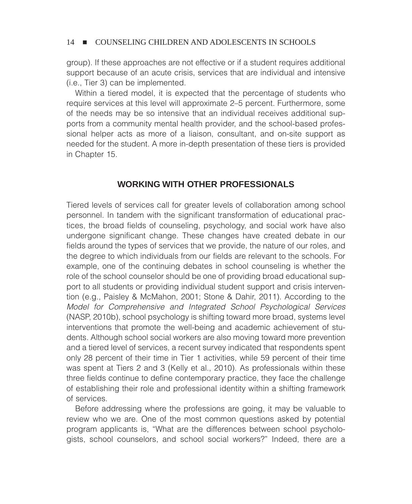group). If these approaches are not effective or if a student requires additional support because of an acute crisis, services that are individual and intensive (i.e., Tier 3) can be implemented.

Within a tiered model, it is expected that the percentage of students who require services at this level will approximate 2–5 percent. Furthermore, some of the needs may be so intensive that an individual receives additional supports from a community mental health provider, and the school-based professional helper acts as more of a liaison, consultant, and on-site support as needed for the student. A more in-depth presentation of these tiers is provided in Chapter 15.

## **WORKING WITH OTHER PROFESSIONALS**

Tiered levels of services call for greater levels of collaboration among school personnel. In tandem with the significant transformation of educational practices, the broad fields of counseling, psychology, and social work have also undergone significant change. These changes have created debate in our fields around the types of services that we provide, the nature of our roles, and the degree to which individuals from our fields are relevant to the schools. For example, one of the continuing debates in school counseling is whether the role of the school counselor should be one of providing broad educational support to all students or providing individual student support and crisis intervention (e.g., Paisley & McMahon, 2001; Stone & Dahir, 2011). According to the *Model for Comprehensive and Integrated School Psychological Services* (NASP, 2010b), school psychology is shifting toward more broad, systems level interventions that promote the well-being and academic achievement of students*.* Although school social workers are also moving toward more prevention and a tiered level of services, a recent survey indicated that respondents spent only 28 percent of their time in Tier 1 activities, while 59 percent of their time was spent at Tiers 2 and 3 (Kelly et al., 2010). As professionals within these three fields continue to define contemporary practice, they face the challenge of establishing their role and professional identity within a shifting framework of services.

Before addressing where the professions are going, it may be valuable to review who we are. One of the most common questions asked by potential program applicants is, "What are the differences between school psychologists, school counselors, and school social workers?" Indeed, there are a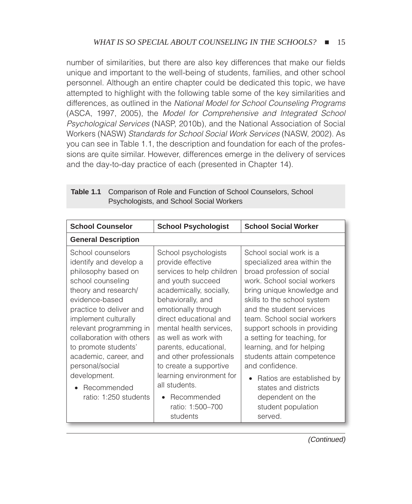number of similarities, but there are also key differences that make our fields unique and important to the well-being of students, families, and other school personnel. Although an entire chapter could be dedicated this topic, we have attempted to highlight with the following table some of the key similarities and differences, as outlined in the *National Model for School Counseling Programs* (ASCA, 1997, 2005), the *Model for Comprehensive and Integrated School Psychological Services* (NASP, 2010b), and the National Association of Social Workers (NASW) *Standards for School Social Work Services* (NASW, 2002). As you can see in Table 1.1, the description and foundation for each of the professions are quite similar. However, differences emerge in the delivery of services and the day-to-day practice of each (presented in Chapter 14).

| <b>School Counselor</b>                                                                                                                                                                                                                                                                                                                                                  | <b>School Psychologist</b>                                                                                                                                                                                                                                                                                                                                                                                    | <b>School Social Worker</b>                                                                                                                                                                                                                                                                                                                                                                                                                                                                          |  |
|--------------------------------------------------------------------------------------------------------------------------------------------------------------------------------------------------------------------------------------------------------------------------------------------------------------------------------------------------------------------------|---------------------------------------------------------------------------------------------------------------------------------------------------------------------------------------------------------------------------------------------------------------------------------------------------------------------------------------------------------------------------------------------------------------|------------------------------------------------------------------------------------------------------------------------------------------------------------------------------------------------------------------------------------------------------------------------------------------------------------------------------------------------------------------------------------------------------------------------------------------------------------------------------------------------------|--|
| <b>General Description</b>                                                                                                                                                                                                                                                                                                                                               |                                                                                                                                                                                                                                                                                                                                                                                                               |                                                                                                                                                                                                                                                                                                                                                                                                                                                                                                      |  |
| School counselors<br>identify and develop a<br>philosophy based on<br>school counseling<br>theory and research/<br>evidence-based<br>practice to deliver and<br>implement culturally<br>relevant programming in<br>collaboration with others<br>to promote students'<br>academic, career, and<br>personal/social<br>development.<br>Recommended<br>ratio: 1:250 students | School psychologists<br>provide effective<br>services to help children<br>and youth succeed<br>academically, socially,<br>behaviorally, and<br>emotionally through<br>direct educational and<br>mental health services,<br>as well as work with<br>parents, educational,<br>and other professionals<br>to create a supportive<br>learning environment for<br>all students.<br>Recommended<br>ratio: 1:500-700 | School social work is a<br>specialized area within the<br>broad profession of social<br>work. School social workers<br>bring unique knowledge and<br>skills to the school system<br>and the student services<br>team. School social workers<br>support schools in providing<br>a setting for teaching, for<br>learning, and for helping<br>students attain competence<br>and confidence.<br>Ratios are established by<br>$\bullet$<br>states and districts<br>dependent on the<br>student population |  |
|                                                                                                                                                                                                                                                                                                                                                                          | students                                                                                                                                                                                                                                                                                                                                                                                                      | served.                                                                                                                                                                                                                                                                                                                                                                                                                                                                                              |  |

| <b>Table 1.1</b> Comparison of Role and Function of School Counselors, School |  |
|-------------------------------------------------------------------------------|--|
| Psychologists, and School Social Workers                                      |  |

(Continued)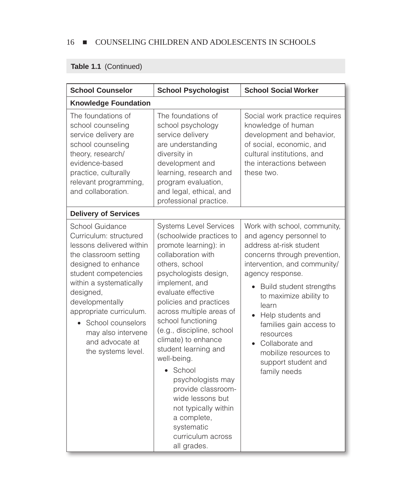## **Table 1.1** (Continued)

| <b>School Counselor</b>                                                                                                                                                                                                                                                                                                   | <b>School Psychologist</b>                                                                                                                                                                                                                                                                                                                                                                                                                                                                                                           | <b>School Social Worker</b>                                                                                                                                                                                                                                                                                                                                                                                      |  |
|---------------------------------------------------------------------------------------------------------------------------------------------------------------------------------------------------------------------------------------------------------------------------------------------------------------------------|--------------------------------------------------------------------------------------------------------------------------------------------------------------------------------------------------------------------------------------------------------------------------------------------------------------------------------------------------------------------------------------------------------------------------------------------------------------------------------------------------------------------------------------|------------------------------------------------------------------------------------------------------------------------------------------------------------------------------------------------------------------------------------------------------------------------------------------------------------------------------------------------------------------------------------------------------------------|--|
| <b>Knowledge Foundation</b>                                                                                                                                                                                                                                                                                               |                                                                                                                                                                                                                                                                                                                                                                                                                                                                                                                                      |                                                                                                                                                                                                                                                                                                                                                                                                                  |  |
| The foundations of<br>school counseling<br>service delivery are<br>school counseling<br>theory, research/<br>evidence-based<br>practice, culturally<br>relevant programming,<br>and collaboration.                                                                                                                        | The foundations of<br>school psychology<br>service delivery<br>are understanding<br>diversity in<br>development and<br>learning, research and<br>program evaluation,<br>and legal, ethical, and<br>professional practice.                                                                                                                                                                                                                                                                                                            | Social work practice requires<br>knowledge of human<br>development and behavior,<br>of social, economic, and<br>cultural institutions, and<br>the interactions between<br>these two.                                                                                                                                                                                                                             |  |
| <b>Delivery of Services</b>                                                                                                                                                                                                                                                                                               |                                                                                                                                                                                                                                                                                                                                                                                                                                                                                                                                      |                                                                                                                                                                                                                                                                                                                                                                                                                  |  |
| School Guidance<br>Curriculum: structured<br>lessons delivered within<br>the classroom setting<br>designed to enhance<br>student competencies<br>within a systematically<br>designed,<br>developmentally<br>appropriate curriculum.<br>• School counselors<br>may also intervene<br>and advocate at<br>the systems level. | <b>Systems Level Services</b><br>(schoolwide practices to<br>promote learning): in<br>collaboration with<br>others, school<br>psychologists design,<br>implement, and<br>evaluate effective<br>policies and practices<br>across multiple areas of<br>school functioning<br>(e.g., discipline, school<br>climate) to enhance<br>student learning and<br>well-being.<br>School<br>psychologists may<br>provide classroom-<br>wide lessons but<br>not typically within<br>a complete,<br>systematic<br>curriculum across<br>all grades. | Work with school, community,<br>and agency personnel to<br>address at-risk student<br>concerns through prevention,<br>intervention, and community/<br>agency response.<br>Build student strengths<br>$\bullet$<br>to maximize ability to<br>learn<br>Help students and<br>$\bullet$<br>families gain access to<br>resources<br>• Collaborate and<br>mobilize resources to<br>support student and<br>family needs |  |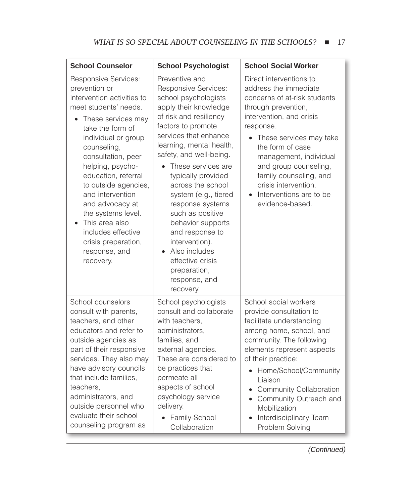| <b>School Counselor</b>                                                                                                                                                                                                                                                                                                                                                                                                                             | <b>School Psychologist</b>                                                                                                                                                                                                                                                                                                                                                                                                                                                                            | <b>School Social Worker</b>                                                                                                                                                                                                                                                                                                                          |
|-----------------------------------------------------------------------------------------------------------------------------------------------------------------------------------------------------------------------------------------------------------------------------------------------------------------------------------------------------------------------------------------------------------------------------------------------------|-------------------------------------------------------------------------------------------------------------------------------------------------------------------------------------------------------------------------------------------------------------------------------------------------------------------------------------------------------------------------------------------------------------------------------------------------------------------------------------------------------|------------------------------------------------------------------------------------------------------------------------------------------------------------------------------------------------------------------------------------------------------------------------------------------------------------------------------------------------------|
| <b>Responsive Services:</b><br>prevention or<br>intervention activities to<br>meet students' needs.<br>These services may<br>$\bullet$<br>take the form of<br>individual or group<br>counseling,<br>consultation, peer<br>helping, psycho-<br>education, referral<br>to outside agencies,<br>and intervention<br>and advocacy at<br>the systems level.<br>This area also<br>includes effective<br>crisis preparation,<br>response, and<br>recovery. | Preventive and<br>Responsive Services:<br>school psychologists<br>apply their knowledge<br>of risk and resiliency<br>factors to promote<br>services that enhance<br>learning, mental health,<br>safety, and well-being.<br>These services are<br>typically provided<br>across the school<br>system (e.g., tiered<br>response systems<br>such as positive<br>behavior supports<br>and response to<br>intervention).<br>Also includes<br>effective crisis<br>preparation,<br>response, and<br>recovery. | Direct interventions to<br>address the immediate<br>concerns of at-risk students<br>through prevention,<br>intervention, and crisis<br>response.<br>These services may take<br>the form of case<br>management, individual<br>and group counseling,<br>family counseling, and<br>crisis intervention.<br>Interventions are to be<br>evidence-based.   |
| School counselors<br>consult with parents,<br>teachers, and other<br>educators and refer to<br>outside agencies as<br>part of their responsive<br>services. They also may<br>have advisory councils<br>that include families,<br>teachers,<br>administrators, and<br>outside personnel who<br>evaluate their school<br>counseling program as                                                                                                        | School psychologists<br>consult and collaborate<br>with teachers,<br>administrators,<br>families, and<br>external agencies.<br>These are considered to<br>be practices that<br>permeate all<br>aspects of school<br>psychology service<br>delivery.<br>Family-School<br>$\bullet$<br>Collaboration                                                                                                                                                                                                    | School social workers<br>provide consultation to<br>facilitate understanding<br>among home, school, and<br>community. The following<br>elements represent aspects<br>of their practice:<br>Home/School/Community<br>Liaison<br><b>Community Collaboration</b><br>Community Outreach and<br>Mobilization<br>Interdisciplinary Team<br>Problem Solving |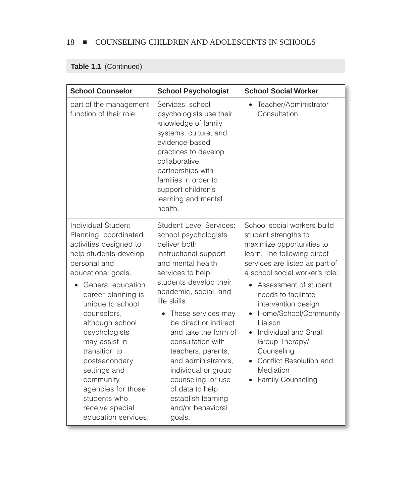## **Table 1.1** (Continued)

| <b>School Counselor</b>                                                                                                                                                                                                                                                                                                                                                                                                | <b>School Psychologist</b>                                                                                                                                                                                                                                                                                                                                                                                                                                                | <b>School Social Worker</b>                                                                                                                                                                                                                                                                                                                                                                                         |
|------------------------------------------------------------------------------------------------------------------------------------------------------------------------------------------------------------------------------------------------------------------------------------------------------------------------------------------------------------------------------------------------------------------------|---------------------------------------------------------------------------------------------------------------------------------------------------------------------------------------------------------------------------------------------------------------------------------------------------------------------------------------------------------------------------------------------------------------------------------------------------------------------------|---------------------------------------------------------------------------------------------------------------------------------------------------------------------------------------------------------------------------------------------------------------------------------------------------------------------------------------------------------------------------------------------------------------------|
| part of the management<br>function of their role.                                                                                                                                                                                                                                                                                                                                                                      | Services: school<br>psychologists use their<br>knowledge of family<br>systems, culture, and<br>evidence-based<br>practices to develop<br>collaborative<br>partnerships with<br>families in order to<br>support children's<br>learning and mental<br>health.                                                                                                                                                                                                               | Teacher/Administrator<br>$\bullet$<br>Consultation                                                                                                                                                                                                                                                                                                                                                                  |
| Individual Student<br>Planning: coordinated<br>activities designed to<br>help students develop<br>personal and<br>educational goals.<br>General education<br>career planning is<br>unique to school<br>counselors,<br>although school<br>psychologists<br>may assist in<br>transition to<br>postsecondary<br>settings and<br>community<br>agencies for those<br>students who<br>receive special<br>education services. | <b>Student Level Services:</b><br>school psychologists<br>deliver both<br>instructional support<br>and mental health<br>services to help<br>students develop their<br>academic, social, and<br>life skills.<br>These services may<br>be direct or indirect<br>and take the form of<br>consultation with<br>teachers, parents,<br>and administrators,<br>individual or group<br>counseling, or use<br>of data to help<br>establish learning<br>and/or behavioral<br>goals. | School social workers build<br>student strengths to<br>maximize opportunities to<br>learn. The following direct<br>services are listed as part of<br>a school social worker's role:<br>Assessment of student<br>needs to facilitate<br>intervention design<br>Home/School/Community<br>Liaison<br>Individual and Small<br>Group Therapy/<br>Counseling<br>Conflict Resolution and<br>Mediation<br>Family Counseling |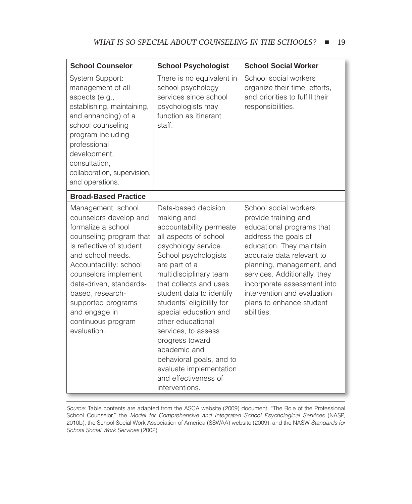| <b>School Counselor</b>                                                                                                                                                                                                                                                                                                     | <b>School Psychologist</b>                                                                                                                                                                                                                                                                                                                                                                                                                                                  | <b>School Social Worker</b>                                                                                                                                                                                                                                                                                                      |
|-----------------------------------------------------------------------------------------------------------------------------------------------------------------------------------------------------------------------------------------------------------------------------------------------------------------------------|-----------------------------------------------------------------------------------------------------------------------------------------------------------------------------------------------------------------------------------------------------------------------------------------------------------------------------------------------------------------------------------------------------------------------------------------------------------------------------|----------------------------------------------------------------------------------------------------------------------------------------------------------------------------------------------------------------------------------------------------------------------------------------------------------------------------------|
| System Support:<br>management of all<br>aspects (e.g.,<br>establishing, maintaining,<br>and enhancing) of a<br>school counseling<br>program including<br>professional<br>development,<br>consultation,<br>collaboration, supervision,<br>and operations.                                                                    | There is no equivalent in<br>school psychology<br>services since school<br>psychologists may<br>function as itinerant<br>staff.                                                                                                                                                                                                                                                                                                                                             | School social workers<br>organize their time, efforts,<br>and priorities to fulfill their<br>responsibilities.                                                                                                                                                                                                                   |
| <b>Broad-Based Practice</b>                                                                                                                                                                                                                                                                                                 |                                                                                                                                                                                                                                                                                                                                                                                                                                                                             |                                                                                                                                                                                                                                                                                                                                  |
| Management: school<br>counselors develop and<br>formalize a school<br>counseling program that<br>is reflective of student<br>and school needs.<br>Accountability: school<br>counselors implement<br>data-driven, standards-<br>based, research-<br>supported programs<br>and engage in<br>continuous program<br>evaluation. | Data-based decision<br>making and<br>accountability permeate<br>all aspects of school<br>psychology service.<br>School psychologists<br>are part of a<br>multidisciplinary team<br>that collects and uses<br>student data to identify<br>students' eligibility for<br>special education and<br>other educational<br>services, to assess<br>progress toward<br>academic and<br>behavioral goals, and to<br>evaluate implementation<br>and effectiveness of<br>interventions. | School social workers<br>provide training and<br>educational programs that<br>address the goals of<br>education. They maintain<br>accurate data relevant to<br>planning, management, and<br>services. Additionally, they<br>incorporate assessment into<br>intervention and evaluation<br>plans to enhance student<br>abilities. |

*Source:* Table contents are adapted from the ASCA website (2009) document, "The Role of the Professional School Counselor," the *Model for Comprehensive and Integrated School Psychological Services* (NASP, 2010b), the School Social Work Association of America (SSWAA) website (2009), and the NASW *Standards for School Social Work Services* (2002).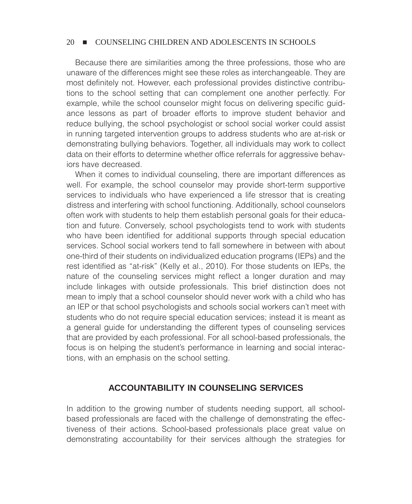Because there are similarities among the three professions, those who are unaware of the differences might see these roles as interchangeable. They are most definitely not. However, each professional provides distinctive contributions to the school setting that can complement one another perfectly. For example, while the school counselor might focus on delivering specific guidance lessons as part of broader efforts to improve student behavior and reduce bullying, the school psychologist or school social worker could assist in running targeted intervention groups to address students who are at-risk or demonstrating bullying behaviors. Together, all individuals may work to collect data on their efforts to determine whether office referrals for aggressive behaviors have decreased.

When it comes to individual counseling, there are important differences as well. For example, the school counselor may provide short-term supportive services to individuals who have experienced a life stressor that is creating distress and interfering with school functioning. Additionally, school counselors often work with students to help them establish personal goals for their education and future. Conversely, school psychologists tend to work with students who have been identified for additional supports through special education services. School social workers tend to fall somewhere in between with about one-third of their students on individualized education programs (IEPs) and the rest identified as "at-risk" (Kelly et al., 2010). For those students on IEPs, the nature of the counseling services might reflect a longer duration and may include linkages with outside professionals. This brief distinction does not mean to imply that a school counselor should never work with a child who has an IEP or that school psychologists and schools social workers can't meet with students who do not require special education services; instead it is meant as a general guide for understanding the different types of counseling services that are provided by each professional. For all school-based professionals, the focus is on helping the student's performance in learning and social interactions, with an emphasis on the school setting.

## **ACCOUNTABILITY IN COUNSELING SERVICES**

In addition to the growing number of students needing support, all schoolbased professionals are faced with the challenge of demonstrating the effectiveness of their actions. School-based professionals place great value on demonstrating accountability for their services although the strategies for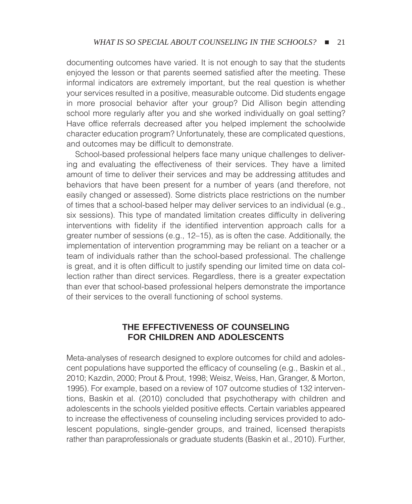documenting outcomes have varied. It is not enough to say that the students enjoyed the lesson or that parents seemed satisfied after the meeting. These informal indicators are extremely important, but the real question is whether your services resulted in a positive, measurable outcome. Did students engage in more prosocial behavior after your group? Did Allison begin attending school more regularly after you and she worked individually on goal setting? Have office referrals decreased after you helped implement the schoolwide character education program? Unfortunately, these are complicated questions, and outcomes may be difficult to demonstrate.

School-based professional helpers face many unique challenges to delivering and evaluating the effectiveness of their services. They have a limited amount of time to deliver their services and may be addressing attitudes and behaviors that have been present for a number of years (and therefore, not easily changed or assessed). Some districts place restrictions on the number of times that a school-based helper may deliver services to an individual (e.g., six sessions). This type of mandated limitation creates difficulty in delivering interventions with fidelity if the identified intervention approach calls for a greater number of sessions (e.g., 12–15), as is often the case. Additionally, the implementation of intervention programming may be reliant on a teacher or a team of individuals rather than the school-based professional. The challenge is great, and it is often difficult to justify spending our limited time on data collection rather than direct services. Regardless, there is a greater expectation than ever that school-based professional helpers demonstrate the importance of their services to the overall functioning of school systems.

## **THE EFFECTIVENESS OF COUNSELING FOR CHILDREN AND ADOLESCENTS**

Meta-analyses of research designed to explore outcomes for child and adolescent populations have supported the efficacy of counseling (e.g., Baskin et al., 2010; Kazdin, 2000; Prout & Prout, 1998; Weisz, Weiss, Han, Granger, & Morton, 1995). For example, based on a review of 107 outcome studies of 132 interventions, Baskin et al. (2010) concluded that psychotherapy with children and adolescents in the schools yielded positive effects. Certain variables appeared to increase the effectiveness of counseling including services provided to adolescent populations, single-gender groups, and trained, licensed therapists rather than paraprofessionals or graduate students (Baskin et al., 2010). Further,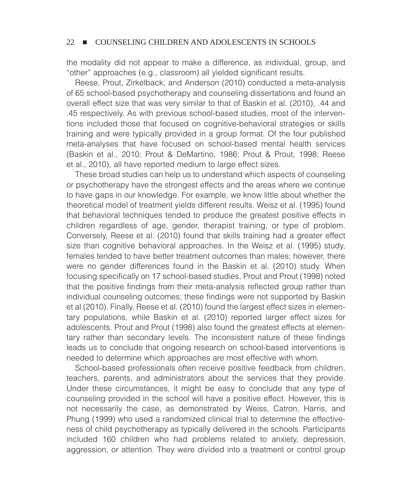the modality did not appear to make a difference, as individual, group, and "other" approaches (e.g., classroom) all yielded significant results.

Reese, Prout, Zirkelback, and Anderson (2010) conducted a meta-analysis of 65 school-based psychotherapy and counseling dissertations and found an overall effect size that was very similar to that of Baskin et al. (2010), .44 and .45 respectively. As with previous school-based studies, most of the interventions included those that focused on cognitive-behavioral strategies or skills training and were typically provided in a group format. Of the four published meta-analyses that have focused on school-based mental health services (Baskin et al., 2010; Prout & DeMartino, 1986; Prout & Prout, 1998; Reese et al., 2010), all have reported medium to large effect sizes.

These broad studies can help us to understand which aspects of counseling or psychotherapy have the strongest effects and the areas where we continue to have gaps in our knowledge. For example, we know little about whether the theoretical model of treatment yields different results. Weisz et al. (1995) found that behavioral techniques tended to produce the greatest positive effects in children regardless of age, gender, therapist training, or type of problem. Conversely, Reese et al. (2010) found that skills training had a greater effect size than cognitive behavioral approaches. In the Weisz et al. (1995) study, females tended to have better treatment outcomes than males; however, there were no gender differences found in the Baskin et al. (2010) study. When focusing specifically on 17 school-based studies, Prout and Prout (1998) noted that the positive findings from their meta-analysis reflected group rather than individual counseling outcomes; these findings were not supported by Baskin et al (2010). Finally, Reese et al. (2010) found the largest effect sizes in elementary populations, while Baskin et al. (2010) reported larger effect sizes for adolescents. Prout and Prout (1998) also found the greatest effects at elementary rather than secondary levels. The inconsistent nature of these findings leads us to conclude that ongoing research on school-based interventions is needed to determine which approaches are most effective with whom.

School-based professionals often receive positive feedback from children, teachers, parents, and administrators about the services that they provide. Under these circumstances, it might be easy to conclude that any type of counseling provided in the school will have a positive effect. However, this is not necessarily the case, as demonstrated by Weiss, Catron, Harris, and Phung (1999) who used a randomized clinical trial to determine the effectiveness of child psychotherapy as typically delivered in the schools. Participants included 160 children who had problems related to anxiety, depression, aggression, or attention. They were divided into a treatment or control group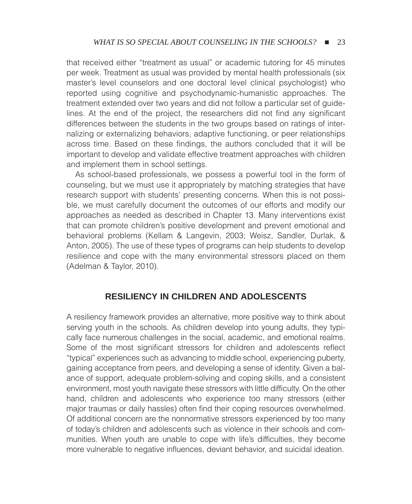that received either "treatment as usual" or academic tutoring for 45 minutes per week. Treatment as usual was provided by mental health professionals (six master's level counselors and one doctoral level clinical psychologist) who reported using cognitive and psychodynamic-humanistic approaches. The treatment extended over two years and did not follow a particular set of guidelines. At the end of the project, the researchers did not find any significant differences between the students in the two groups based on ratings of internalizing or externalizing behaviors, adaptive functioning, or peer relationships across time. Based on these findings, the authors concluded that it will be important to develop and validate effective treatment approaches with children and implement them in school settings.

As school-based professionals, we possess a powerful tool in the form of counseling, but we must use it appropriately by matching strategies that have research support with students' presenting concerns. When this is not possible, we must carefully document the outcomes of our efforts and modify our approaches as needed as described in Chapter 13. Many interventions exist that can promote children's positive development and prevent emotional and behavioral problems (Kellam & Langevin, 2003; Weisz, Sandler, Durlak, & Anton, 2005). The use of these types of programs can help students to develop resilience and cope with the many environmental stressors placed on them (Adelman & Taylor, 2010).

## **RESILIENCY IN CHILDREN AND ADOLESCENTS**

A resiliency framework provides an alternative, more positive way to think about serving youth in the schools. As children develop into young adults, they typically face numerous challenges in the social, academic, and emotional realms. Some of the most significant stressors for children and adolescents reflect "typical" experiences such as advancing to middle school, experiencing puberty, gaining acceptance from peers, and developing a sense of identity. Given a balance of support, adequate problem-solving and coping skills, and a consistent environment, most youth navigate these stressors with little difficulty. On the other hand, children and adolescents who experience too many stressors (either major traumas or daily hassles) often find their coping resources overwhelmed. Of additional concern are the nonnormative stressors experienced by too many of today's children and adolescents such as violence in their schools and communities. When youth are unable to cope with life's difficulties, they become more vulnerable to negative influences, deviant behavior, and suicidal ideation.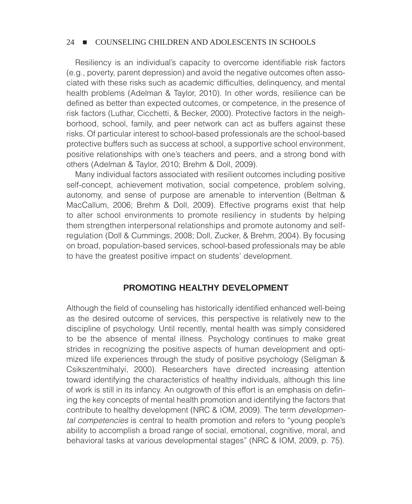Resiliency is an individual's capacity to overcome identifiable risk factors (e.g., poverty, parent depression) and avoid the negative outcomes often associated with these risks such as academic difficulties, delinquency, and mental health problems (Adelman & Taylor, 2010). In other words, resilience can be defined as better than expected outcomes, or competence, in the presence of risk factors (Luthar, Cicchetti, & Becker, 2000). Protective factors in the neighborhood, school, family, and peer network can act as buffers against these risks. Of particular interest to school-based professionals are the school-based protective buffers such as success at school, a supportive school environment, positive relationships with one's teachers and peers, and a strong bond with others (Adelman & Taylor, 2010; Brehm & Doll, 2009).

Many individual factors associated with resilient outcomes including positive self-concept, achievement motivation, social competence, problem solving, autonomy, and sense of purpose are amenable to intervention (Beltman & MacCallum, 2006; Brehm & Doll, 2009). Effective programs exist that help to alter school environments to promote resiliency in students by helping them strengthen interpersonal relationships and promote autonomy and selfregulation (Doll & Cummings, 2008; Doll, Zucker, & Brehm, 2004). By focusing on broad, population-based services, school-based professionals may be able to have the greatest positive impact on students' development.

## **PROMOTING HEALTHY DEVELOPMENT**

Although the field of counseling has historically identified enhanced well-being as the desired outcome of services, this perspective is relatively new to the discipline of psychology. Until recently, mental health was simply considered to be the absence of mental illness. Psychology continues to make great strides in recognizing the positive aspects of human development and optimized life experiences through the study of positive psychology (Seligman & Csikszentmihalyi, 2000). Researchers have directed increasing attention toward identifying the characteristics of healthy individuals, although this line of work is still in its infancy. An outgrowth of this effort is an emphasis on defining the key concepts of mental health promotion and identifying the factors that contribute to healthy development (NRC & IOM, 2009). The term *developmental competencies* is central to health promotion and refers to "young people's ability to accomplish a broad range of social, emotional, cognitive, moral, and behavioral tasks at various developmental stages" (NRC & IOM, 2009, p. 75).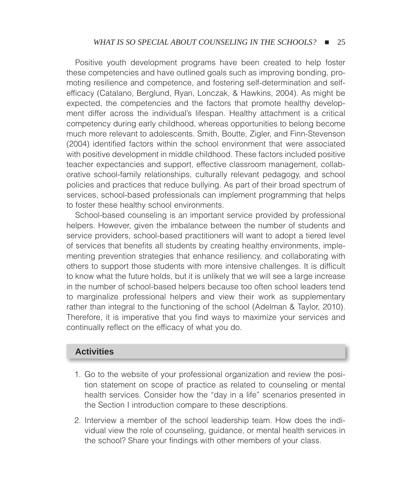Positive youth development programs have been created to help foster these competencies and have outlined goals such as improving bonding, promoting resilience and competence, and fostering self-determination and selfefficacy (Catalano, Berglund, Ryan, Lonczak, & Hawkins, 2004). As might be expected, the competencies and the factors that promote healthy development differ across the individual's lifespan. Healthy attachment is a critical competency during early childhood, whereas opportunities to belong become much more relevant to adolescents. Smith, Boutte, Zigler, and Finn-Stevenson (2004) identified factors within the school environment that were associated with positive development in middle childhood. These factors included positive teacher expectancies and support, effective classroom management, collaborative school-family relationships, culturally relevant pedagogy, and school policies and practices that reduce bullying. As part of their broad spectrum of services, school-based professionals can implement programming that helps to foster these healthy school environments.

School-based counseling is an important service provided by professional helpers. However, given the imbalance between the number of students and service providers, school-based practitioners will want to adopt a tiered level of services that benefits all students by creating healthy environments, implementing prevention strategies that enhance resiliency, and collaborating with others to support those students with more intensive challenges. It is difficult to know what the future holds, but it is unlikely that we will see a large increase in the number of school-based helpers because too often school leaders tend to marginalize professional helpers and view their work as supplementary rather than integral to the functioning of the school (Adelman & Taylor, 2010). Therefore, it is imperative that you find ways to maximize your services and continually reflect on the efficacy of what you do.

## **Activities**

- 1. Go to the website of your professional organization and review the position statement on scope of practice as related to counseling or mental health services. Consider how the "day in a life" scenarios presented in the Section I introduction compare to these descriptions.
- 2. Interview a member of the school leadership team. How does the individual view the role of counseling, guidance, or mental health services in the school? Share your findings with other members of your class.